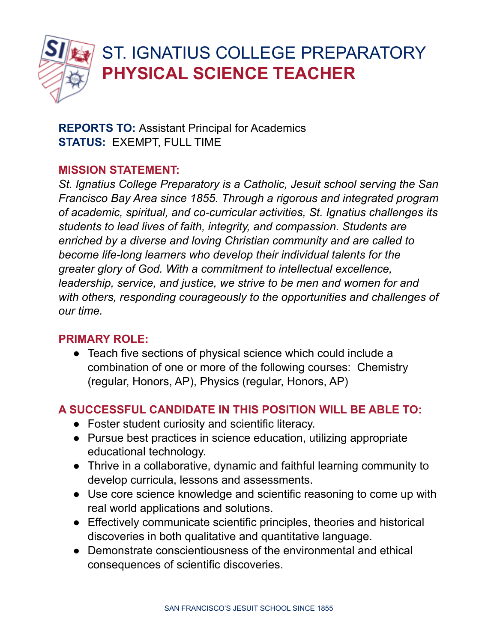

# ST. IGNATIUS COLLEGE PREPARATORY **PHYSICAL SCIENCE TEACHER**

**REPORTS TO:** Assistant Principal for Academics **STATUS:** EXEMPT, FULL TIME

## **MISSION STATEMENT:**

*St. Ignatius College Preparatory is a Catholic, Jesuit school serving the San Francisco Bay Area since 1855. Through a rigorous and integrated program of academic, spiritual, and co-curricular activities, St. Ignatius challenges its students to lead lives of faith, integrity, and compassion. Students are enriched by a diverse and loving Christian community and are called to become life-long learners who develop their individual talents for the greater glory of God. With a commitment to intellectual excellence, leadership, service, and justice, we strive to be men and women for and with others, responding courageously to the opportunities and challenges of our time.*

## **PRIMARY ROLE:**

● Teach five sections of physical science which could include a combination of one or more of the following courses: Chemistry (regular, Honors, AP), Physics (regular, Honors, AP)

## **A SUCCESSFUL CANDIDATE IN THIS POSITION WILL BE ABLE TO:**

- Foster student curiosity and scientific literacy.
- Pursue best practices in science education, utilizing appropriate educational technology.
- Thrive in a collaborative, dynamic and faithful learning community to develop curricula, lessons and assessments.
- Use core science knowledge and scientific reasoning to come up with real world applications and solutions.
- Effectively communicate scientific principles, theories and historical discoveries in both qualitative and quantitative language.
- Demonstrate conscientiousness of the environmental and ethical consequences of scientific discoveries.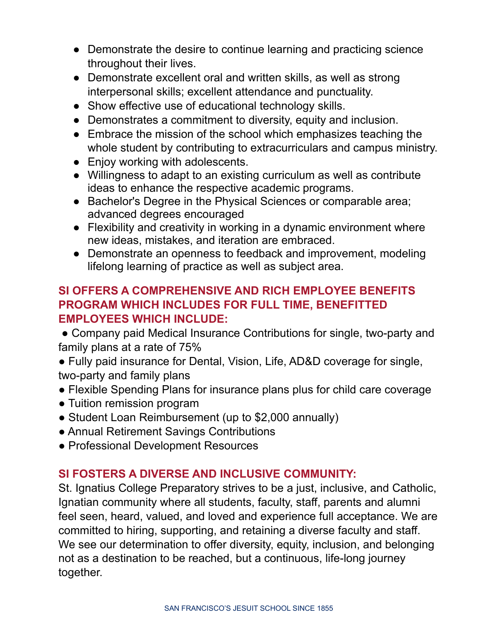- Demonstrate the desire to continue learning and practicing science throughout their lives.
- Demonstrate excellent oral and written skills, as well as strong interpersonal skills; excellent attendance and punctuality.
- Show effective use of educational technology skills.
- Demonstrates a commitment to diversity, equity and inclusion.
- Embrace the mission of the school which emphasizes teaching the whole student by contributing to extracurriculars and campus ministry.
- Enjoy working with adolescents.
- Willingness to adapt to an existing curriculum as well as contribute ideas to enhance the respective academic programs.
- Bachelor's Degree in the Physical Sciences or comparable area; advanced degrees encouraged
- Flexibility and creativity in working in a dynamic environment where new ideas, mistakes, and iteration are embraced.
- Demonstrate an openness to feedback and improvement, modeling lifelong learning of practice as well as subject area.

#### **SI OFFERS A COMPREHENSIVE AND RICH EMPLOYEE BENEFITS PROGRAM WHICH INCLUDES FOR FULL TIME, BENEFITTED EMPLOYEES WHICH INCLUDE:**

• Company paid Medical Insurance Contributions for single, two-party and family plans at a rate of 75%

- Fully paid insurance for Dental, Vision, Life, AD&D coverage for single, two-party and family plans
- Flexible Spending Plans for insurance plans plus for child care coverage
- Tuition remission program
- Student Loan Reimbursement (up to \$2,000 annually)
- Annual Retirement Savings Contributions
- Professional Development Resources

# **SI FOSTERS A DIVERSE AND INCLUSIVE COMMUNITY:**

St. Ignatius College Preparatory strives to be a just, inclusive, and Catholic, Ignatian community where all students, faculty, staff, parents and alumni feel seen, heard, valued, and loved and experience full acceptance. We are committed to hiring, supporting, and retaining a diverse faculty and staff. We see our determination to offer diversity, equity, inclusion, and belonging not as a destination to be reached, but a continuous, life-long journey together.